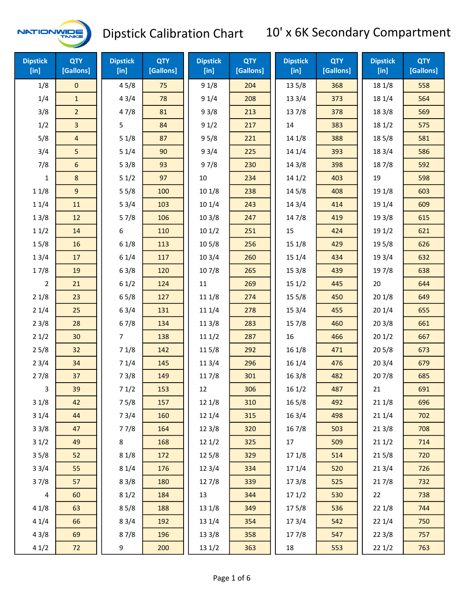

| <b>Dipstick</b><br>$[$ in] | <b>QTY</b><br>[Gallons] | <b>Dipstick</b><br>[in] | <b>QTY</b><br>[Gallons] | <b>Dipstick</b><br>[in] | <b>QTY</b><br>[Gallons] | <b>Dipstick</b><br>$[$ in] | <b>QTY</b><br>[Gallons] | <b>Dipstick</b><br>[in] | <b>QTY</b><br>[Gallons] |
|----------------------------|-------------------------|-------------------------|-------------------------|-------------------------|-------------------------|----------------------------|-------------------------|-------------------------|-------------------------|
| 1/8                        | $\mathbf 0$             | 45/8                    | 75                      | 91/8                    | 204                     | 13 5/8                     | 368                     | 18 1/8                  | 558                     |
| 1/4                        | $\mathbf{1}$            | 43/4                    | 78                      | 91/4                    | 208                     | 13 3/4                     | 373                     | 18 1/4                  | 564                     |
| 3/8                        | 2 <sup>2</sup>          | 47/8                    | 81                      | 93/8                    | 213                     | 137/8                      | 378                     | 18 3/8                  | 569                     |
| 1/2                        | 3                       | 5                       | 84                      | 91/2                    | 217                     | 14                         | 383                     | 18 1/2                  | 575                     |
| 5/8                        | 4                       | 51/8                    | 87                      | 95/8                    | 221                     | 14 1/8                     | 388                     | 18 5/8                  | 581                     |
| 3/4                        | 5                       | 51/4                    | 90                      | 93/4                    | 225                     | 14 1/4                     | 393                     | 18 3/4                  | 586                     |
| 7/8                        | 6                       | 53/8                    | 93                      | 97/8                    | 230                     | 14 3/8                     | 398                     | 187/8                   | 592                     |
| 1                          | $\bf 8$                 | 51/2                    | 97                      | 10                      | 234                     | 141/2                      | 403                     | 19                      | 598                     |
| 11/8                       | 9                       | 55/8                    | 100                     | 101/8                   | 238                     | 14 5/8                     | 408                     | 19 1/8                  | 603                     |
| 11/4                       | 11                      | 53/4                    | 103                     | 101/4                   | 243                     | 14 3/4                     | 414                     | 19 1/4                  | 609                     |
| 13/8                       | 12                      | 57/8                    | 106                     | 103/8                   | 247                     | 147/8                      | 419                     | 19 3/8                  | 615                     |
| 11/2                       | 14                      | 6                       | 110                     | 101/2                   | 251                     | 15                         | 424                     | 19 1/2                  | 621                     |
| 15/8                       | 16                      | 61/8                    | 113                     | 10 <sub>5</sub> /8      | 256                     | 15 1/8                     | 429                     | 19 5/8                  | 626                     |
| 13/4                       | 17                      | 61/4                    | 117                     | 103/4                   | 260                     | 15 1/4                     | 434                     | 19 3/4                  | 632                     |
| 17/8                       | 19                      | 63/8                    | 120                     | 107/8                   | 265                     | 153/8                      | 439                     | 197/8                   | 638                     |
| $\overline{2}$             | 21                      | 61/2                    | 124                     | $11\,$                  | 269                     | 151/2                      | 445                     | 20                      | 644                     |
| 21/8                       | 23                      | 65/8                    | 127                     | 111/8                   | 274                     | 15 5/8                     | 450                     | 201/8                   | 649                     |
| 21/4                       | 25                      | 63/4                    | 131                     | 11 1/4                  | 278                     | 153/4                      | 455                     | 201/4                   | 655                     |
| 23/8                       | 28                      | 67/8                    | 134                     | 11 3/8                  | 283                     | 15 7/8                     | 460                     | 203/8                   | 661                     |
| 21/2                       | 30                      | $\overline{7}$          | 138                     | 111/2                   | 287                     | 16                         | 466                     | 201/2                   | 667                     |
| 25/8                       | 32                      | 71/8                    | 142                     | 11 5/8                  | 292                     | 16 1/8                     | 471                     | 205/8                   | 673                     |
| 23/4                       | 34                      | 71/4                    | 145                     | 113/4                   | 296                     | 16 1/4                     | 476                     | 203/4                   | 679                     |
| 27/8                       | 37                      | 73/8                    | 149                     | 11 7/8                  | 301                     | 16 3/8                     | 482                     | 207/8                   | 685                     |
| 3                          | 39                      | 71/2                    | 153                     | 12                      | 306                     | 161/2                      | 487                     | 21                      | 691                     |
| 31/8                       | 42                      | 75/8                    | 157                     | 12 1/8                  | 310                     | 16 5/8                     | 492                     | 211/8                   | 696                     |
| 31/4                       | 44                      | 73/4                    | 160                     | 12 1/4                  | 315                     | 16 3/4                     | 498                     | 211/4                   | 702                     |
| 33/8                       | 47                      | 77/8                    | 164                     | 123/8                   | 320                     | 167/8                      | 503                     | 213/8                   | 708                     |
| 31/2                       | 49                      | 8                       | 168                     | 121/2                   | 325                     | 17                         | 509                     | 211/2                   | 714                     |
| 35/8                       | 52                      | 81/8                    | 172                     | 12 5/8                  | 329                     | 17 1/8                     | 514                     | 215/8                   | 720                     |
| 33/4                       | 55                      | 81/4                    | 176                     | 12 3/4                  | 334                     | 17 1/4                     | 520                     | 213/4                   | 726                     |
| 37/8                       | 57                      | 83/8                    | 180                     | 12 7/8                  | 339                     | 173/8                      | 525                     | 217/8                   | 732                     |
| 4                          | 60                      | 81/2                    | 184                     | 13                      | 344                     | 171/2                      | 530                     | 22                      | 738                     |
| 41/8                       | 63                      | 85/8                    | 188                     | 13 1/8                  | 349                     | 175/8                      | 536                     | 221/8                   | 744                     |
| 41/4                       | 66                      | 83/4                    | 192                     | 13 1/4                  | 354                     | 173/4                      | 542                     | 221/4                   | 750                     |
| 43/8                       | 69                      | 87/8                    | 196                     | 13 3/8                  | 358                     | 177/8                      | 547                     | 223/8                   | 757                     |
| 41/2                       | 72                      | 9                       | 200                     | 13 1/2                  | 363                     | 18                         | 553                     | 221/2                   | 763                     |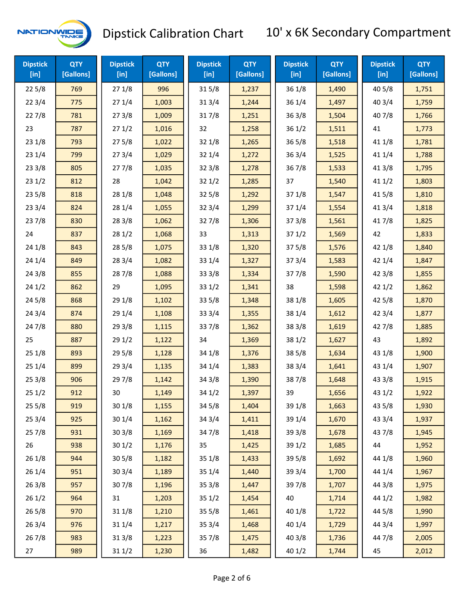

| <b>Dipstick</b><br>[in] | <b>QTY</b><br>[Gallons] | <b>Dipstick</b><br>$[$ in] | <b>QTY</b><br>[Gallons] | <b>Dipstick</b><br>$[$ in] | <b>QTY</b><br>[Gallons] | <b>Dipstick</b><br>[ <sub>in</sub> ] | <b>QTY</b><br>[Gallons] | <b>Dipstick</b><br>$[$ in] | <b>QTY</b><br>[Gallons] |
|-------------------------|-------------------------|----------------------------|-------------------------|----------------------------|-------------------------|--------------------------------------|-------------------------|----------------------------|-------------------------|
| 225/8                   | 769                     | 271/8                      | 996                     | 315/8                      | 1,237                   | 36 1/8                               | 1,490                   | 40 5/8                     | 1,751                   |
| 223/4                   | 775                     | 271/4                      | 1,003                   | 313/4                      | 1,244                   | 36 1/4                               | 1,497                   | 403/4                      | 1,759                   |
| 227/8                   | 781                     | 273/8                      | 1,009                   | 317/8                      | 1,251                   | 36 3/8                               | 1,504                   | 407/8                      | 1,766                   |
| 23                      | 787                     | 271/2                      | 1,016                   | 32                         | 1,258                   | 361/2                                | 1,511                   | 41                         | 1,773                   |
| 231/8                   | 793                     | 275/8                      | 1,022                   | 32 1/8                     | 1,265                   | 36 5/8                               | 1,518                   | 41 1/8                     | 1,781                   |
| 231/4                   | 799                     | 273/4                      | 1,029                   | 32 1/4                     | 1,272                   | 36 3/4                               | 1,525                   | 41 1/4                     | 1,788                   |
| 233/8                   | 805                     | 277/8                      | 1,035                   | 323/8                      | 1,278                   | 367/8                                | 1,533                   | 41 3/8                     | 1,795                   |
| 231/2                   | 812                     | 28                         | 1,042                   | 321/2                      | 1,285                   | 37                                   | 1,540                   | 41 1/2                     | 1,803                   |
| 235/8                   | 818                     | 28 1/8                     | 1,048                   | 325/8                      | 1,292                   | 37 1/8                               | 1,547                   | 41 5/8                     | 1,810                   |
| 233/4                   | 824                     | 28 1/4                     | 1,055                   | 32 3/4                     | 1,299                   | 37 1/4                               | 1,554                   | 41 3/4                     | 1,818                   |
| 237/8                   | 830                     | 28 3/8                     | 1,062                   | 327/8                      | 1,306                   | 37 3/8                               | 1,561                   | 417/8                      | 1,825                   |
| 24                      | 837                     | 281/2                      | 1,068                   | 33                         | 1,313                   | 371/2                                | 1,569                   | 42                         | 1,833                   |
| 24 1/8                  | 843                     | 285/8                      | 1,075                   | 33 1/8                     | 1,320                   | 375/8                                | 1,576                   | 42 1/8                     | 1,840                   |
| 241/4                   | 849                     | 283/4                      | 1,082                   | 33 1/4                     | 1,327                   | 373/4                                | 1,583                   | 42 1/4                     | 1,847                   |
| 243/8                   | 855                     | 287/8                      | 1,088                   | 33 3/8                     | 1,334                   | 377/8                                | 1,590                   | 42 3/8                     | 1,855                   |
| 241/2                   | 862                     | 29                         | 1,095                   | 33 1/2                     | 1,341                   | 38                                   | 1,598                   | 42 1/2                     | 1,862                   |
| 245/8                   | 868                     | 29 1/8                     | 1,102                   | 33 5/8                     | 1,348                   | 38 1/8                               | 1,605                   | 42 5/8                     | 1,870                   |
| 243/4                   | 874                     | 29 1/4                     | 1,108                   | 33 3/4                     | 1,355                   | 38 1/4                               | 1,612                   | 42 3/4                     | 1,877                   |
| 24 7/8                  | 880                     | 293/8                      | 1,115                   | 337/8                      | 1,362                   | 38 3/8                               | 1,619                   | 427/8                      | 1,885                   |
| 25                      | 887                     | 291/2                      | 1,122                   | 34                         | 1,369                   | 38 1/2                               | 1,627                   | 43                         | 1,892                   |
| 251/8                   | 893                     | 295/8                      | 1,128                   | 34 1/8                     | 1,376                   | 38 5/8                               | 1,634                   | 43 1/8                     | 1,900                   |
| 251/4                   | 899                     | 293/4                      | 1,135                   | 34 1/4                     | 1,383                   | 38 3/4                               | 1,641                   | 43 1/4                     | 1,907                   |
| 253/8                   | 906                     | 29 7/8                     | 1,142                   | 34 3/8                     | 1,390                   | 387/8                                | 1,648                   | 43 3/8                     | 1,915                   |
| 251/2                   | 912                     | 30                         | 1,149                   | 34 1/2                     | 1,397                   | 39                                   | 1,656                   | 43 1/2                     | 1,922                   |
| 255/8                   | 919                     | 301/8                      | 1,155                   | 34 5/8                     | 1,404                   | 39 1/8                               | 1,663                   | 43 5/8                     | 1,930                   |
| 253/4                   | 925                     | 301/4                      | 1,162                   | 34 3/4                     | 1,411                   | 39 1/4                               | 1,670                   | 43 3/4                     | 1,937                   |
| 257/8                   | 931                     | 303/8                      | 1,169                   | 34 7/8                     | 1,418                   | 39 3/8                               | 1,678                   | 437/8                      | 1,945                   |
| 26                      | 938                     | 301/2                      | 1,176                   | 35                         | 1,425                   | 39 1/2                               | 1,685                   | 44                         | 1,952                   |
| 26 1/8                  | 944                     | 305/8                      | 1,182                   | 35 1/8                     | 1,433                   | 39 5/8                               | 1,692                   | 44 1/8                     | 1,960                   |
| 261/4                   | 951                     | 303/4                      | 1,189                   | 35 1/4                     | 1,440                   | 39 3/4                               | 1,700                   | 44 1/4                     | 1,967                   |
| 263/8                   | 957                     | 307/8                      | 1,196                   | 35 3/8                     | 1,447                   | 397/8                                | 1,707                   | 44 3/8                     | 1,975                   |
| 261/2                   | 964                     | 31                         | 1,203                   | 351/2                      | 1,454                   | 40                                   | 1,714                   | 44 1/2                     | 1,982                   |
| 265/8                   | 970                     | 31 1/8                     | 1,210                   | $35\,5/8$                  | 1,461                   | 40 1/8                               | 1,722                   | 44 5/8                     | 1,990                   |
| 263/4                   | 976                     | 31 1/4                     | 1,217                   | 353/4                      | 1,468                   | 40 1/4                               | 1,729                   | 44 3/4                     | 1,997                   |
| 267/8                   | 983                     | 313/8                      | 1,223                   | 35 7/8                     | 1,475                   | 40 3/8                               | 1,736                   | 447/8                      | 2,005                   |
| 27                      | 989                     | 311/2                      | 1,230                   | 36                         | 1,482                   | 401/2                                | 1,744                   | 45                         | 2,012                   |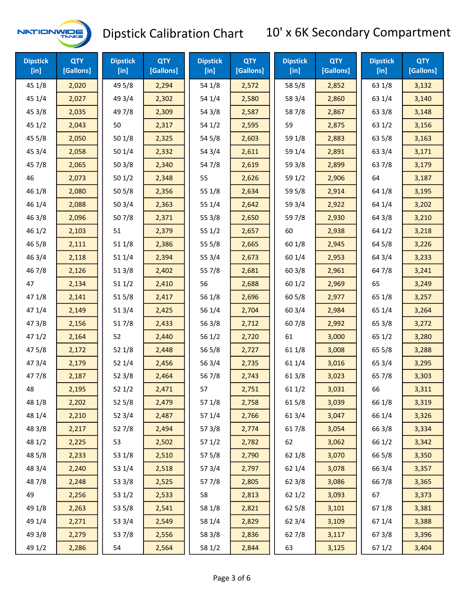

| <b>Dipstick</b><br>[in] | <b>QTY</b><br>[Gallons] | <b>Dipstick</b><br>$[$ in] | <b>QTY</b><br>[Gallons] | <b>Dipstick</b><br>$[$ in] | <b>QTY</b><br>[Gallons] | <b>Dipstick</b><br>$[$ in] | <b>QTY</b><br>[Gallons] | <b>Dipstick</b><br>$[$ in] | <b>QTY</b><br>[Gallons] |
|-------------------------|-------------------------|----------------------------|-------------------------|----------------------------|-------------------------|----------------------------|-------------------------|----------------------------|-------------------------|
| 45 1/8                  | 2,020                   | 49 5/8                     | 2,294                   | 54 1/8                     | 2,572                   | 58 5/8                     | 2,852                   | 63 1/8                     | 3,132                   |
| 45 1/4                  | 2,027                   | 49 3/4                     | 2,302                   | 54 1/4                     | 2,580                   | 58 3/4                     | 2,860                   | 63 1/4                     | 3,140                   |
| 45 3/8                  | 2,035                   | 497/8                      | 2,309                   | 54 3/8                     | 2,587                   | 587/8                      | 2,867                   | 63 3/8                     | 3,148                   |
| 45 1/2                  | 2,043                   | 50                         | 2,317                   | 54 1/2                     | 2,595                   | 59                         | 2,875                   | 63 1/2                     | 3,156                   |
| 45 5/8                  | 2,050                   | 50 1/8                     | 2,325                   | 54 5/8                     | 2,603                   | 59 1/8                     | 2,883                   | 63 5/8                     | 3,163                   |
| 45 3/4                  | 2,058                   | 50 1/4                     | 2,332                   | 54 3/4                     | 2,611                   | 59 1/4                     | 2,891                   | 63 3/4                     | 3,171                   |
| 45 7/8                  | 2,065                   | 503/8                      | 2,340                   | 547/8                      | 2,619                   | 59 3/8                     | 2,899                   | 637/8                      | 3,179                   |
| 46                      | 2,073                   | 501/2                      | 2,348                   | 55                         | 2,626                   | 59 1/2                     | 2,906                   | 64                         | 3,187                   |
| 46 1/8                  | 2,080                   | 505/8                      | 2,356                   | 55 1/8                     | 2,634                   | 59 5/8                     | 2,914                   | 64 1/8                     | 3,195                   |
| 46 1/4                  | 2,088                   | 503/4                      | 2,363                   | 55 1/4                     | 2,642                   | 59 3/4                     | 2,922                   | 64 1/4                     | 3,202                   |
| 46 3/8                  | 2,096                   | 507/8                      | 2,371                   | 55 3/8                     | 2,650                   | 59 7/8                     | 2,930                   | 64 3/8                     | 3,210                   |
| 46 1/2                  | 2,103                   | 51                         | 2,379                   | 55 1/2                     | 2,657                   | 60                         | 2,938                   | 64 1/2                     | 3,218                   |
| 46 5/8                  | 2,111                   | 51 1/8                     | 2,386                   | 55 5/8                     | 2,665                   | 60 1/8                     | 2,945                   | 64 5/8                     | 3,226                   |
| 46 3/4                  | 2,118                   | 51 1/4                     | 2,394                   | 55 3/4                     | 2,673                   | 60 1/4                     | 2,953                   | 64 3/4                     | 3,233                   |
| 46 7/8                  | 2,126                   | 513/8                      | 2,402                   | 55 7/8                     | 2,681                   | 60 3/8                     | 2,961                   | 64 7/8                     | 3,241                   |
| 47                      | 2,134                   | 511/2                      | 2,410                   | 56                         | 2,688                   | 601/2                      | 2,969                   | 65                         | 3,249                   |
| 47 1/8                  | 2,141                   | 51 5/8                     | 2,417                   | 56 1/8                     | 2,696                   | 60 5/8                     | 2,977                   | 65 1/8                     | 3,257                   |
| 47 1/4                  | 2,149                   | 51 3/4                     | 2,425                   | 56 1/4                     | 2,704                   | 603/4                      | 2,984                   | 65 1/4                     | 3,264                   |
| 473/8                   | 2,156                   | 517/8                      | 2,433                   | 56 3/8                     | 2,712                   | 607/8                      | 2,992                   | 65 3/8                     | 3,272                   |
| 471/2                   | 2,164                   | 52                         | 2,440                   | 56 1/2                     | 2,720                   | 61                         | 3,000                   | 65 1/2                     | 3,280                   |
| 47 5/8                  | 2,172                   | 52 1/8                     | 2,448                   | 56 5/8                     | 2,727                   | 61 1/8                     | 3,008                   | 65 5/8                     | 3,288                   |
| 47 3/4                  | 2,179                   | 52 1/4                     | 2,456                   | 56 3/4                     | 2,735                   | 61 1/4                     | 3,016                   | 65 3/4                     | 3,295                   |
| 477/8                   | 2,187                   | 52 3/8                     | 2,464                   | 56 7/8                     | 2,743                   | 61 3/8                     | 3,023                   | 65 7/8                     | 3,303                   |
| 48                      | 2,195                   | 52 1/2                     | 2,471                   | 57                         | 2,751                   | 611/2                      | 3,031                   | 66                         | 3,311                   |
| 48 1/8                  | 2,202                   | 52 5/8                     | 2,479                   | 57 1/8                     | 2,758                   | 61 5/8                     | 3,039                   | 66 1/8                     | 3,319                   |
| 48 1/4                  | 2,210                   | 52 3/4                     | 2,487                   | 57 1/4                     | 2,766                   | 61 3/4                     | 3,047                   | 66 1/4                     | 3,326                   |
| 48 3/8                  | 2,217                   | 527/8                      | 2,494                   | 57 3/8                     | 2,774                   | 617/8                      | 3,054                   | 66 3/8                     | 3,334                   |
| 48 1/2                  | 2,225                   | 53                         | 2,502                   | 57 1/2                     | 2,782                   | 62                         | 3,062                   | 66 1/2                     | 3,342                   |
| 48 5/8                  | 2,233                   | 53 1/8                     | 2,510                   | 57 5/8                     | 2,790                   | 62 1/8                     | 3,070                   | 66 5/8                     | 3,350                   |
| 48 3/4                  | 2,240                   | 53 1/4                     | 2,518                   | 57 3/4                     | 2,797                   | 62 1/4                     | 3,078                   | 66 3/4                     | 3,357                   |
| 487/8                   | 2,248                   | 53 3/8                     | 2,525                   | 577/8                      | 2,805                   | 62 3/8                     | 3,086                   | 66 7/8                     | 3,365                   |
| 49                      | 2,256                   | 53 1/2                     | 2,533                   | 58                         | 2,813                   | 621/2                      | 3,093                   | 67                         | 3,373                   |
| 49 1/8                  | 2,263                   | 53 5/8                     | 2,541                   | 58 1/8                     | 2,821                   | 62 5/8                     | 3,101                   | 67 1/8                     | 3,381                   |
| 49 1/4                  | 2,271                   | 53 3/4                     | 2,549                   | 58 1/4                     | 2,829                   | 623/4                      | 3,109                   | 67 1/4                     | 3,388                   |
| 49 3/8                  | 2,279                   | 537/8                      | 2,556                   | 58 3/8                     | 2,836                   | 627/8                      | 3,117                   | 673/8                      | 3,396                   |
| 49 1/2                  | 2,286                   | 54                         | 2,564                   | 58 1/2                     | 2,844                   | 63                         | 3,125                   | 67 1/2                     | 3,404                   |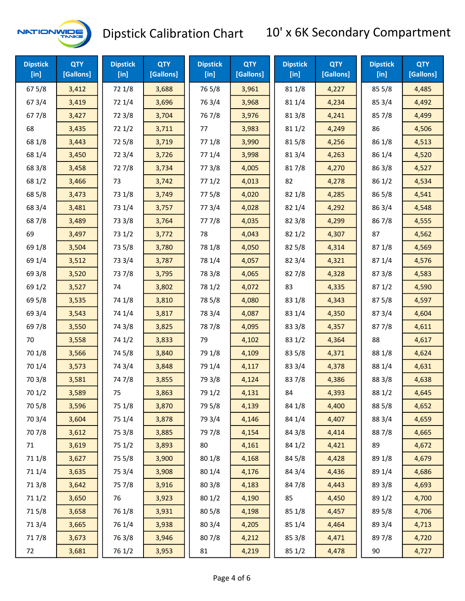

| <b>Dipstick</b><br>[in] | <b>QTY</b><br>[Gallons] | <b>Dipstick</b><br>$[$ in] | <b>QTY</b><br>[Gallons] | <b>Dipstick</b><br>$[$ in] | <b>QTY</b><br>[Gallons] | <b>Dipstick</b><br>$[$ in] | <b>QTY</b><br>[Gallons] | <b>Dipstick</b><br>$[$ in] | <b>QTY</b><br>[Gallons] |
|-------------------------|-------------------------|----------------------------|-------------------------|----------------------------|-------------------------|----------------------------|-------------------------|----------------------------|-------------------------|
| 67 5/8                  | 3,412                   | 72 1/8                     | 3,688                   | 76 5/8                     | 3,961                   | 81 1/8                     | 4,227                   | 85 5/8                     | 4,485                   |
| 67 3/4                  | 3,419                   | 72 1/4                     | 3,696                   | 76 3/4                     | 3,968                   | 81 1/4                     | 4,234                   | 85 3/4                     | 4,492                   |
| 677/8                   | 3,427                   | 72 3/8                     | 3,704                   | 76 7/8                     | 3,976                   | 81 3/8                     | 4,241                   | 85 7/8                     | 4,499                   |
| 68                      | 3,435                   | 72 1/2                     | 3,711                   | 77                         | 3,983                   | 811/2                      | 4,249                   | 86                         | 4,506                   |
| 68 1/8                  | 3,443                   | 72 5/8                     | 3,719                   | 77 1/8                     | 3,990                   | 815/8                      | 4,256                   | 86 1/8                     | 4,513                   |
| 68 1/4                  | 3,450                   | 72 3/4                     | 3,726                   | 77 1/4                     | 3,998                   | 813/4                      | 4,263                   | 86 1/4                     | 4,520                   |
| 68 3/8                  | 3,458                   | 727/8                      | 3,734                   | 773/8                      | 4,005                   | 817/8                      | 4,270                   | 86 3/8                     | 4,527                   |
| 68 1/2                  | 3,466                   | 73                         | 3,742                   | 77 1/2                     | 4,013                   | 82                         | 4,278                   | 86 1/2                     | 4,534                   |
| 68 5/8                  | 3,473                   | 73 1/8                     | 3,749                   | 77 5/8                     | 4,020                   | 82 1/8                     | 4,285                   | 86 5/8                     | 4,541                   |
| 68 3/4                  | 3,481                   | 73 1/4                     | 3,757                   | 77 3/4                     | 4,028                   | 82 1/4                     | 4,292                   | 86 3/4                     | 4,548                   |
| 687/8                   | 3,489                   | 73 3/8                     | 3,764                   | 777/8                      | 4,035                   | 82 3/8                     | 4,299                   | 867/8                      | 4,555                   |
| 69                      | 3,497                   | 73 1/2                     | 3,772                   | 78                         | 4,043                   | 821/2                      | 4,307                   | 87                         | 4,562                   |
| 69 1/8                  | 3,504                   | 73 5/8                     | 3,780                   | 78 1/8                     | 4,050                   | 82 5/8                     | 4,314                   | 87 1/8                     | 4,569                   |
| 69 1/4                  | 3,512                   | 73 3/4                     | 3,787                   | 78 1/4                     | 4,057                   | 82 3/4                     | 4,321                   | 87 1/4                     | 4,576                   |
| 69 3/8                  | 3,520                   | 737/8                      | 3,795                   | 78 3/8                     | 4,065                   | 827/8                      | 4,328                   | 873/8                      | 4,583                   |
| 69 1/2                  | 3,527                   | 74                         | 3,802                   | 78 1/2                     | 4,072                   | 83                         | 4,335                   | 871/2                      | 4,590                   |
| 69 5/8                  | 3,535                   | 74 1/8                     | 3,810                   | 78 5/8                     | 4,080                   | 83 1/8                     | 4,343                   | 875/8                      | 4,597                   |
| 69 3/4                  | 3,543                   | 74 1/4                     | 3,817                   | 78 3/4                     | 4,087                   | 83 1/4                     | 4,350                   | 873/4                      | 4,604                   |
| 697/8                   | 3,550                   | 74 3/8                     | 3,825                   | 787/8                      | 4,095                   | 83 3/8                     | 4,357                   | 877/8                      | 4,611                   |
| 70                      | 3,558                   | 74 1/2                     | 3,833                   | 79                         | 4,102                   | 83 1/2                     | 4,364                   | 88                         | 4,617                   |
| 70 1/8                  | 3,566                   | 74 5/8                     | 3,840                   | 79 1/8                     | 4,109                   | 83 5/8                     | 4,371                   | 88 1/8                     | 4,624                   |
| 70 1/4                  | 3,573                   | 74 3/4                     | 3,848                   | 79 1/4                     | 4,117                   | 83 3/4                     | 4,378                   | 88 1/4                     | 4,631                   |
| 70 3/8                  | 3,581                   | 747/8                      | 3,855                   | 79 3/8                     | 4,124                   | 837/8                      | 4,386                   | 88 3/8                     | 4,638                   |
| 70 1/2                  | 3,589                   | 75                         | 3,863                   | 79 1/2                     | 4,131                   | 84                         | 4,393                   | 88 1/2                     | 4,645                   |
| 70 5/8                  | 3,596                   | 75 1/8                     | 3,870                   | 79 5/8                     | 4,139                   | 84 1/8                     | 4,400                   | 88 5/8                     | 4,652                   |
| 70 3/4                  | 3,604                   | 75 1/4                     | 3,878                   | 79 3/4                     | 4,146                   | 84 1/4                     | 4,407                   | 88 3/4                     | 4,659                   |
| 707/8                   | 3,612                   | 75 3/8                     | 3,885                   | 797/8                      | 4,154                   | 84 3/8                     | 4,414                   | 887/8                      | 4,665                   |
| 71                      | 3,619                   | 75 1/2                     | 3,893                   | 80                         | 4,161                   | 84 1/2                     | 4,421                   | 89                         | 4,672                   |
| 71 1/8                  | 3,627                   | 75 5/8                     | 3,900                   | 80 1/8                     | 4,168                   | 84 5/8                     | 4,428                   | 89 1/8                     | 4,679                   |
| 71 1/4                  | 3,635                   | 75 3/4                     | 3,908                   | 80 1/4                     | 4,176                   | 84 3/4                     | 4,436                   | 89 1/4                     | 4,686                   |
| 713/8                   | 3,642                   | 75 7/8                     | 3,916                   | 80 3/8                     | 4,183                   | 847/8                      | 4,443                   | 89 3/8                     | 4,693                   |
| 71 1/2                  | 3,650                   | 76                         | 3,923                   | 80 1/2                     | 4,190                   | 85                         | 4,450                   | 89 1/2                     | 4,700                   |
| 715/8                   | 3,658                   | 76 1/8                     | 3,931                   | 80 5/8                     | 4,198                   | 85 1/8                     | 4,457                   | 89 5/8                     | 4,706                   |
| 713/4                   | 3,665                   | 76 1/4                     | 3,938                   | 80 3/4                     | 4,205                   | 85 1/4                     | 4,464                   | 89 3/4                     | 4,713                   |
| 717/8                   | 3,673                   | 763/8                      | 3,946                   | 807/8                      | 4,212                   | 85 3/8                     | 4,471                   | 897/8                      | 4,720                   |
| 72                      | 3,681                   | 76 1/2                     | 3,953                   | 81                         | 4,219                   | 851/2                      | 4,478                   | 90                         | 4,727                   |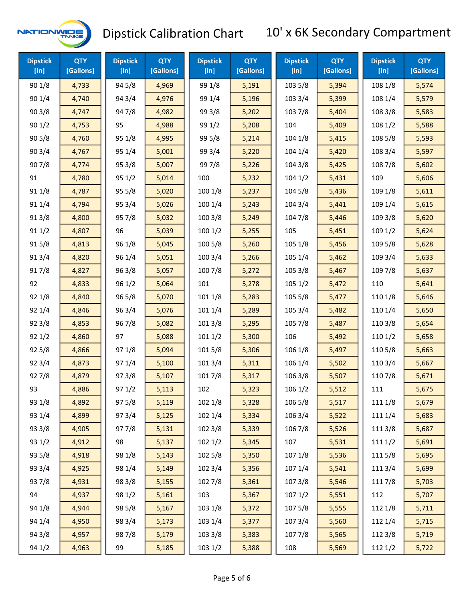

| <b>Dipstick</b><br>$[$ in] | <b>QTY</b><br>[Gallons] | <b>Dipstick</b><br>[in] | <b>QTY</b><br>[Gallons] | <b>Dipstick</b><br>$[$ in] | <b>QTY</b><br>[Gallons] | <b>Dipstick</b><br>$[$ in] | <b>QTY</b><br>[Gallons] | <b>Dipstick</b><br>$[$ in] | <b>QTY</b><br>[Gallons] |
|----------------------------|-------------------------|-------------------------|-------------------------|----------------------------|-------------------------|----------------------------|-------------------------|----------------------------|-------------------------|
| 90 1/8                     | 4,733                   | 94 5/8                  | 4,969                   | 99 1/8                     | 5,191                   | 103 5/8                    | 5,394                   | 108 1/8                    | 5,574                   |
| 90 1/4                     | 4,740                   | 94 3/4                  | 4,976                   | 99 1/4                     | 5,196                   | 103 3/4                    | 5,399                   | 108 1/4                    | 5,579                   |
| 903/8                      | 4,747                   | 947/8                   | 4,982                   | 99 3/8                     | 5,202                   | 103 7/8                    | 5,404                   | 108 3/8                    | 5,583                   |
| 901/2                      | 4,753                   | 95                      | 4,988                   | 99 1/2                     | 5,208                   | 104                        | 5,409                   | 108 1/2                    | 5,588                   |
| 905/8                      | 4,760                   | 95 1/8                  | 4,995                   | 99 5/8                     | 5,214                   | 104 1/8                    | 5,415                   | 108 5/8                    | 5,593                   |
| 903/4                      | 4,767                   | 95 1/4                  | 5,001                   | 99 3/4                     | 5,220                   | 104 1/4                    | 5,420                   | 108 3/4                    | 5,597                   |
| 90 7/8                     | 4,774                   | 95 3/8                  | 5,007                   | 99 7/8                     | 5,226                   | 104 3/8                    | 5,425                   | 108 7/8                    | 5,602                   |
| 91                         | 4,780                   | 951/2                   | 5,014                   | 100                        | 5,232                   | 1041/2                     | 5,431                   | 109                        | 5,606                   |
| 91 1/8                     | 4,787                   | 95 5/8                  | 5,020                   | 100 1/8                    | 5,237                   | 104 5/8                    | 5,436                   | 109 1/8                    | 5,611                   |
| 91 1/4                     | 4,794                   | 95 3/4                  | 5,026                   | 100 1/4                    | 5,243                   | 104 3/4                    | 5,441                   | 109 1/4                    | 5,615                   |
| 91 3/8                     | 4,800                   | 95 7/8                  | 5,032                   | 100 3/8                    | 5,249                   | 104 7/8                    | 5,446                   | 109 3/8                    | 5,620                   |
| 911/2                      | 4,807                   | 96                      | 5,039                   | 1001/2                     | 5,255                   | 105                        | 5,451                   | 109 1/2                    | 5,624                   |
| 915/8                      | 4,813                   | 96 1/8                  | 5,045                   | 100 5/8                    | 5,260                   | 105 1/8                    | 5,456                   | 109 5/8                    | 5,628                   |
| 913/4                      | 4,820                   | 96 1/4                  | 5,051                   | 100 3/4                    | 5,266                   | 105 1/4                    | 5,462                   | 109 3/4                    | 5,633                   |
| 917/8                      | 4,827                   | 96 3/8                  | 5,057                   | 100 7/8                    | 5,272                   | 105 3/8                    | 5,467                   | 109 7/8                    | 5,637                   |
| 92                         | 4,833                   | 961/2                   | 5,064                   | 101                        | 5,278                   | 1051/2                     | 5,472                   | 110                        | 5,641                   |
| 92 1/8                     | 4,840                   | 96 5/8                  | 5,070                   | 101 1/8                    | 5,283                   | 105 5/8                    | 5,477                   | 110 1/8                    | 5,646                   |
| 92 1/4                     | 4,846                   | 96 3/4                  | 5,076                   | 101 1/4                    | 5,289                   | 105 3/4                    | 5,482                   | 110 1/4                    | 5,650                   |
| 92 3/8                     | 4,853                   | 96 7/8                  | 5,082                   | 101 3/8                    | 5,295                   | 105 7/8                    | 5,487                   | 110 3/8                    | 5,654                   |
| 921/2                      | 4,860                   | 97                      | 5,088                   | 1011/2                     | 5,300                   | 106                        | 5,492                   | 110 1/2                    | 5,658                   |
| 925/8                      | 4,866                   | 97 1/8                  | 5,094                   | 101 5/8                    | 5,306                   | 106 1/8                    | 5,497                   | 110 5/8                    | 5,663                   |
| 92 3/4                     | 4,873                   | 97 1/4                  | 5,100                   | 101 3/4                    | 5,311                   | 106 1/4                    | 5,502                   | 110 3/4                    | 5,667                   |
| 92 7/8                     | 4,879                   | 973/8                   | 5,107                   | 101 7/8                    | 5,317                   | 106 3/8                    | 5,507                   | 110 7/8                    | 5,671                   |
| 93                         | 4,886                   | 97 1/2                  | 5,113                   | 102                        | 5,323                   | 106 1/2                    | 5,512                   | 111                        | 5,675                   |
| 93 1/8                     | 4,892                   | 97 5/8                  | 5,119                   | 102 1/8                    | 5,328                   | 106 5/8                    | 5,517                   | 111 1/8                    | 5,679                   |
| 93 1/4                     | 4,899                   | 973/4                   | 5,125                   | 102 1/4                    | 5,334                   | 106 3/4                    | 5,522                   | 111 1/4                    | 5,683                   |
| 93 3/8                     | 4,905                   | 977/8                   | 5,131                   | 102 3/8                    | 5,339                   | 106 7/8                    | 5,526                   | 111 3/8                    | 5,687                   |
| 93 1/2                     | 4,912                   | 98                      | 5,137                   | 102 1/2                    | 5,345                   | 107                        | 5,531                   | 111 1/2                    | 5,691                   |
| 93 5/8                     | 4,918                   | 98 1/8                  | 5,143                   | 102 5/8                    | 5,350                   | 107 1/8                    | 5,536                   | 111 5/8                    | 5,695                   |
| 93 3/4                     | 4,925                   | 98 1/4                  | 5,149                   | 102 3/4                    | 5,356                   | 107 1/4                    | 5,541                   | 111 3/4                    | 5,699                   |
| 937/8                      | 4,931                   | 98 3/8                  | 5,155                   | 102 7/8                    | 5,361                   | 107 3/8                    | 5,546                   | 111 7/8                    | 5,703                   |
| 94                         | 4,937                   | 98 1/2                  | 5,161                   | 103                        | 5,367                   | 107 1/2                    | 5,551                   | 112                        | 5,707                   |
| 94 1/8                     | 4,944                   | 98 5/8                  | 5,167                   | 103 1/8                    | 5,372                   | 107 5/8                    | 5,555                   | 112 1/8                    | 5,711                   |
| 94 1/4                     | 4,950                   | 983/4                   | 5,173                   | 103 1/4                    | 5,377                   | 107 3/4                    | 5,560                   | 112 1/4                    | 5,715                   |
| 94 3/8                     | 4,957                   | 987/8                   | 5,179                   | 103 3/8                    | 5,383                   | 107 7/8                    | 5,565                   | 112 3/8                    | 5,719                   |
| 94 1/2                     | 4,963                   | 99                      | 5,185                   | 103 1/2                    | 5,388                   | 108                        | 5,569                   | 112 1/2                    | 5,722                   |